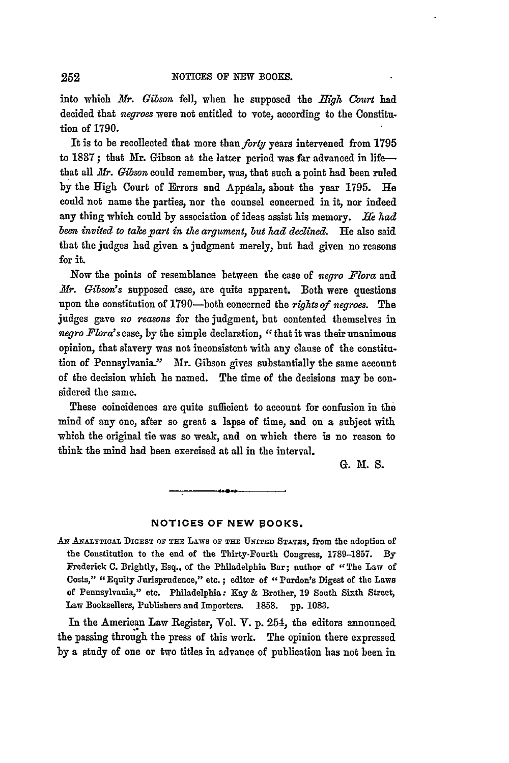into which *Mr. Gibson* fell, when he supposed the *High Court* had decided that *negroes* were not entitled to vote., according to the Constitution of 1790.

It is to be recollected that more than *forty* years intervened from 1795 to 1837; that Mr. Gibson at the latter period was far advanced in lifethat all *Mr. Gibson* could remember, was, that such a point had been ruled by the High Court of Errors and Appeals, about the year 1795. **He** could not name the parties, nor the counsel concerned in it, nor indeed any thing which could **by** association of ideas assist his memory. *He had been invited to take part in the argument, but had declined.* **He** also said that the judges had given a judgment merely, but had given no reasons for it.

Now the points of resemblance between the case of *negro Flora* and Mr. Gibson's supposed case, are quite apparent. Both were questions upon the constitution of 1790-both concerned the *rights of negroes.* **The** judges gave *no reasons* for the judgment, but contented themselves in *negro Flora's* case, by the simple declaration, "that it was their unanimous opinion, that slavery was not inconsistent with any clause of the constitution of Pennsylvania." Mr. Gibson gives substantially the same account of the decision which he named. The time of the decisions may be considered the same.

These coincidences are quite sufficient to account for confusion in the mind of any one, after so great a lapse of time, and on a subject with which the original tie was so weak, and on which there is no reason to think the mind had been exercised at all in the interval.

**G.** M. **S.**

## **NOTICES OF NEW BOOKS.**

**AN LNALIYTICAi DIGEST OF** Tnz LAWS **OF THE UNITED STATES,** from the adoption of the Constitution to the end of the Thirty-Fourth Congress, **1789-1857. By** Frederick **C.** Brightly, Esq., of the Philadelphia Bar; author of "The Law of Costs," "Equity Jurisprudence," etc.; editor of "Purdon's Digest of the Laws of Pennsylvania," etc. Philadelphia: Kay **&** Brother, **19** South Sixth Street, Law Booksellers, Publishers and Importers. **1858. pp. 1083.**

In the American Law Register, Vol. V. p. 254, the editors announced the passing through the press of this work. The opinion there expressed **by** a study of one or two titles in advance of publication has not been in

## 252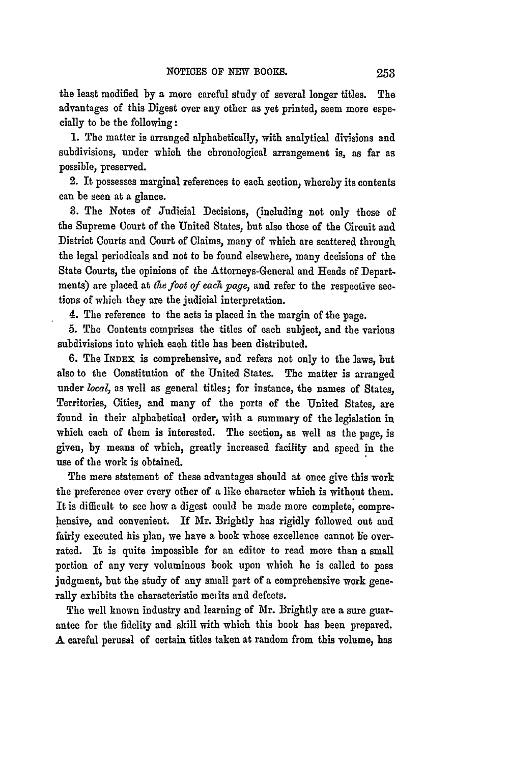the least modified by a more careful study of several longer titles. The advantages of this Digest over any other as yet printed, seem more especially to be the following:

1. The matter is arranged alphabetically, with analytical divisions and subdivisions, under which the chronological arrangement is, as far as possible, preserved.

2. It possesses marginal references to each section, whereby its contents can be seen at a glance.

**8.** The Notes of Judicial Decisions, (including not only those of the Supreme Court of the United States, but also those of the Circuit and District Courts and Court of Claims, many of which are scattered through the legal periodicals and not to be found elsewhere, many decisions of the State Courts, the opinions of the Attorneys-General and Heads of Departments) are placed at *the foot of each page*, and refer to the respective sections of which they are the judicial interpretation.

4. The reference to the acts is placed in the margin of the page.

**5.** The Contents comprises the titles of each subject, and the various subdivisions into which each title has been distributed.

**6.** The **INDEX** is comprehensive, and refers not only to the laws, but also to the Constitution of the United States. The matter is arranged under local, as well as general titles; for instance, the names of States, Territories, Cities, and many of the ports of the United States, **are** found in their alphabetical order, with a summary of the legislation in which each of them is interested. The section, as well as the page, is given, **by** means of which, greatly increased facility and speed in the use of the work is obtained.

The mere statement of these advantages should at once give this work the preference over every other of a like character which is without them. It is difficult to see how a digest could be made more complete, comprehensive, and convenient. **If** Mr. Brightly has rigidly followed out and fairly executed his plan, we have a book whose excellence cannot be overrated. It is quite impossible for an editor to read more than a small portion of any very voluminous book upon which he is called to pass judgment, but the study of any small part of **a** comprehensive work generally exhibits the characteristic merits and defects.

The well known industry and learning of Mr. Brightly are a sure guarantee for the fidelity and skill with which this book has been prepared. *A* careful perusal of certain titles taken at random from this volume, has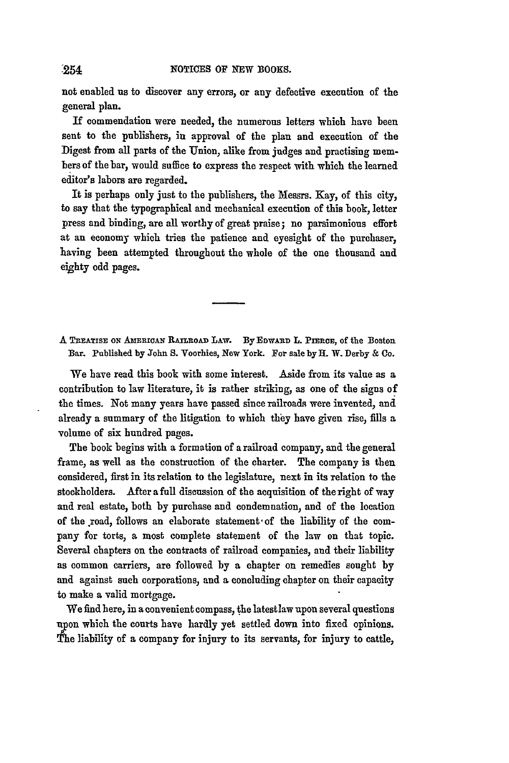not enabled us to discover any errors, or any defective execution of the general plan.

If commendation were needed, the numerous letters which have been sent to the publishers, in approval of the plan and execution of the Digest from all parts of the Union, alike from judges and practising members of the bar, would suffce to express the respect with which the learned editor's labors are regarded.

It is perhaps only just to the publishers, the Messrs. Kay, of this city, to say that the typographical and mechanical execution of this book, letter press and binding, are all worthy of great praise; no parsimonious effort at an economy which tries the patience and eyesight of the purchaser, having been attempted throughout the whole of the one thousand and eighty odd pages.

A TEEATISE ON AMERICAN RAILBOAD LAW. By EDWARD L. PIERCE, of the Boston Bar. Published **by** John **S.** Voorhies, New York. For sale **by H.** W. Derby & Co.

We have read this book with some interest. Aside from its value as a contribution to law literature, it is rather striking, as one of the signs of the times. Not many years have passed since railroads were invented, and already a summary of the litigation to which they have given rise, fills a volume of six hundred pages.

The book begins with a formation of a railroad company, and the general frame, as well as the construction of the charter. The company is then considered, first in its relation to the legislature, next in its relation to the stockholders. After a full discussion of the acquisition of the right of way and real estate, both **by** purchase and condemnation, and of the location of the .road, follows an elaborate statement-of the liability of the company for torts, a most complete statement of the law on that topic. Several chapters on the contracts of railroad companies, and their liability as common carriers, are followed by a chapter on remedies sought **by** and against such corporations, and a concluding chapter on their capacity to make a valid mortgage.

We find here, in a convenient compass, the latestlaw upon several questions upon which the courts have hardly yet settled down into fixed opinions. The liability of a company for injury to its servants, for injury to cattle,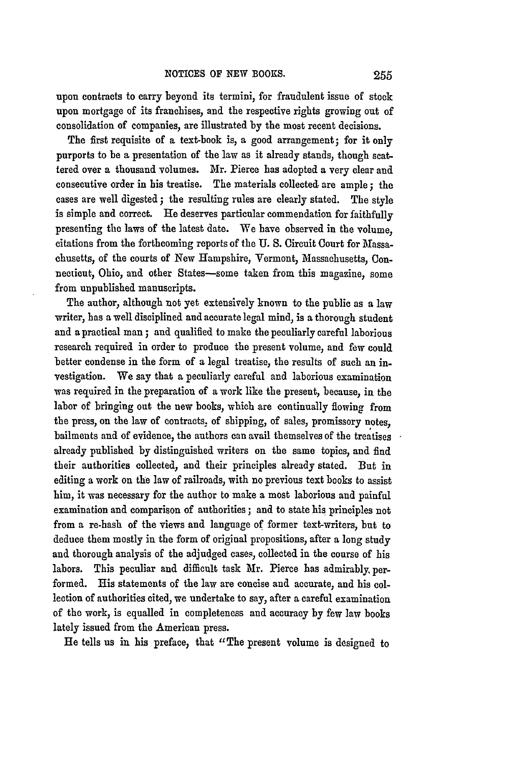upon contracts to carry beyond its termini, for fraudulent issue of stock upon mortgage of its franchises, and the respective rights growing out of consolidation of companies, are illustrated **by** the most recent decisions.

The first requisite of a text-book is, a good arrangement; for it only purports to be a presentation of the law as it already stands, though scattered over a thousand volumes. Mr. Pierce has adopted a very clear and consecutive order in his treatise. The materials collected are ample; the cases are well digested **;** the resulting rules are clearly stated. The style is simple and correct. He deserves particular commendation for faithfully presenting the laws of the latest date. We have observed in the volume, citations from the forthcoming reports of the **U. S.** Circuit Court for Massachusetts, of the courts of New Hampshire, Vermont, Massachusetts, Connecticut, Ohio, and other States-some taken from this magazine, some from unpublished manuscripts.

The author, although not yet extensively known to the public as a law writer, has a well disciplined and accurate legal mind, is a thorough student and a practical man **;** and qualified to make the peculiarly careful laborious research required in order to produce the present volume, and few could better condense in the form of a legal treatise, the results of such an investigation. We say that a peculiarly careful and laborious examination was required in the preparation of a work like the present, because, in the labor of bringing out the new books, which are continually flowing from the press, on the law of contracts, of shipping, of sales, promissory notes, bailmeuts and of evidence, the authors can avail themselves of the treatises already published **by** distinguished writers on the same topics, and find their authorities collected, and their principles already stated. But in editing a work on the law of railroads, with no previous text books to assist him, it was necessary for the author to make a most laborious and painful examination and comparison of authorities; and to state his principles not from a re-hash of the views and language of former text-writers, but to deduce them mostly in the form of original propositions, after a long study and thorough analysis of the adjudged cases, collected in the course of his labors. This peculiar and difficult task Mr. Pierce has admirably, performed. His statements of the law are concise and accurate, and his collection of authorities cited, we undertake to say, after a careful examination of the work, is equalled in completeness and accuracy by few law books lately issued from the American press.

He tells us in his preface, that "The present volume is designed to